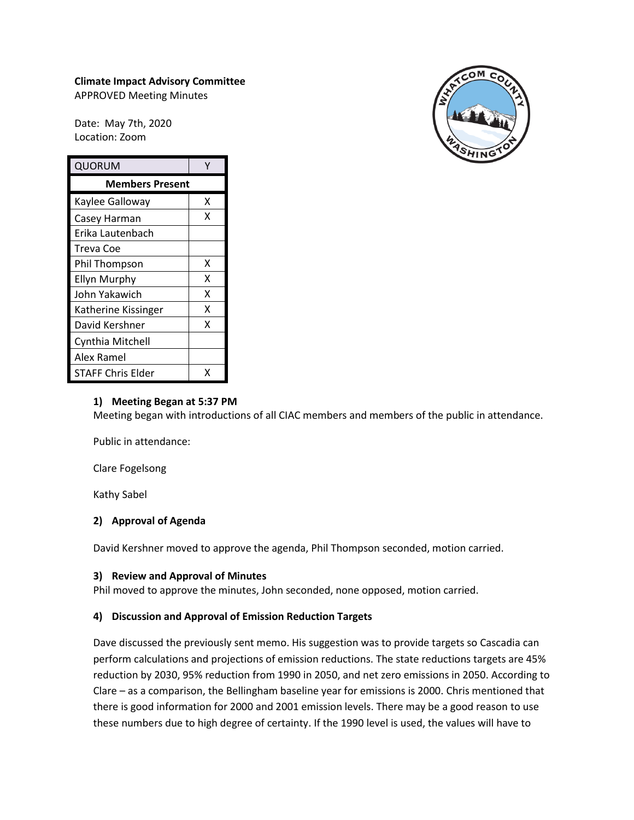# **Climate Impact Advisory Committee**

APPROVED Meeting Minutes

Date: May 7th, 2020 Location: Zoom

| QUORUM                   | Y |
|--------------------------|---|
| <b>Members Present</b>   |   |
| Kaylee Galloway          | x |
| Casey Harman             | x |
| Erika Lautenbach         |   |
| Treva Coe                |   |
| Phil Thompson            | x |
| Ellyn Murphy             | x |
| John Yakawich            | x |
| Katherine Kissinger      | X |
| David Kershner           | x |
| Cynthia Mitchell         |   |
| Alex Ramel               |   |
| <b>STAFF Chris Elder</b> |   |



#### **1) Meeting Began at 5:37 PM**

Meeting began with introductions of all CIAC members and members of the public in attendance.

Public in attendance:

Clare Fogelsong

Kathy Sabel

## **2) Approval of Agenda**

David Kershner moved to approve the agenda, Phil Thompson seconded, motion carried.

#### **3) Review and Approval of Minutes**

Phil moved to approve the minutes, John seconded, none opposed, motion carried.

## **4) Discussion and Approval of Emission Reduction Targets**

Dave discussed the previously sent memo. His suggestion was to provide targets so Cascadia can perform calculations and projections of emission reductions. The state reductions targets are 45% reduction by 2030, 95% reduction from 1990 in 2050, and net zero emissions in 2050. According to Clare – as a comparison, the Bellingham baseline year for emissions is 2000. Chris mentioned that there is good information for 2000 and 2001 emission levels. There may be a good reason to use these numbers due to high degree of certainty. If the 1990 level is used, the values will have to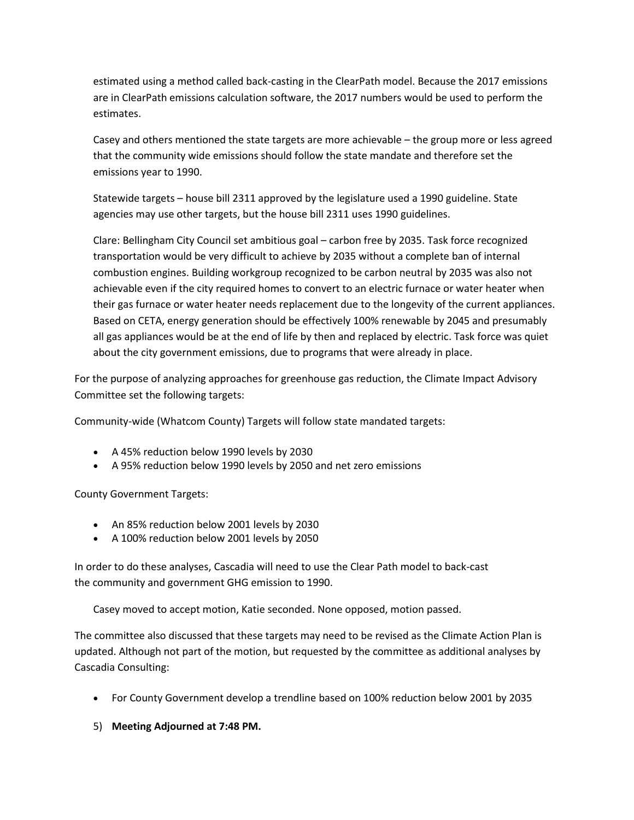estimated using a method called back-casting in the ClearPath model. Because the 2017 emissions are in ClearPath emissions calculation software, the 2017 numbers would be used to perform the estimates.

Casey and others mentioned the state targets are more achievable – the group more or less agreed that the community wide emissions should follow the state mandate and therefore set the emissions year to 1990.

Statewide targets – house bill 2311 approved by the legislature used a 1990 guideline. State agencies may use other targets, but the house bill 2311 uses 1990 guidelines.

Clare: Bellingham City Council set ambitious goal – carbon free by 2035. Task force recognized transportation would be very difficult to achieve by 2035 without a complete ban of internal combustion engines. Building workgroup recognized to be carbon neutral by 2035 was also not achievable even if the city required homes to convert to an electric furnace or water heater when their gas furnace or water heater needs replacement due to the longevity of the current appliances. Based on CETA, energy generation should be effectively 100% renewable by 2045 and presumably all gas appliances would be at the end of life by then and replaced by electric. Task force was quiet about the city government emissions, due to programs that were already in place.

For the purpose of analyzing approaches for greenhouse gas reduction, the Climate Impact Advisory Committee set the following targets:

Community-wide (Whatcom County) Targets will follow state mandated targets:

- A 45% reduction below 1990 levels by 2030
- A 95% reduction below 1990 levels by 2050 and net zero emissions

County Government Targets:

- An 85% reduction below 2001 levels by 2030
- A 100% reduction below 2001 levels by 2050

In order to do these analyses, Cascadia will need to use the Clear Path model to back-cast the community and government GHG emission to 1990.

Casey moved to accept motion, Katie seconded. None opposed, motion passed.

The committee also discussed that these targets may need to be revised as the Climate Action Plan is updated. Although not part of the motion, but requested by the committee as additional analyses by Cascadia Consulting:

- For County Government develop a trendline based on 100% reduction below 2001 by 2035
- 5) **Meeting Adjourned at 7:48 PM.**